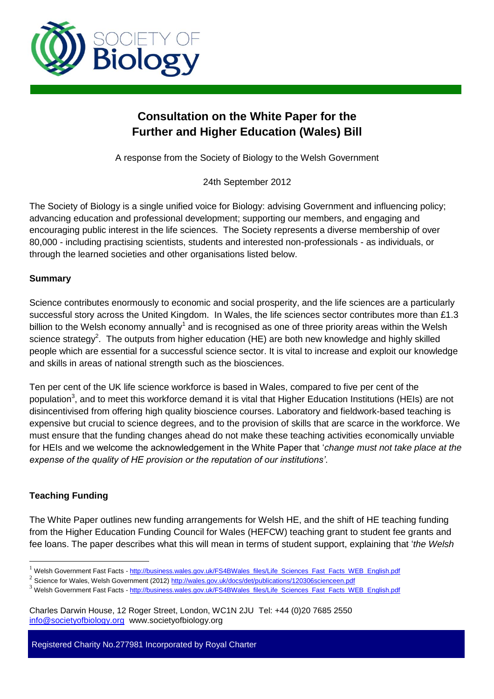

# **Consultation on the White Paper for the Further and Higher Education (Wales) Bill**

A response from the Society of Biology to the Welsh Government

24th September 2012

The Society of Biology is a single unified voice for Biology: advising Government and influencing policy; advancing education and professional development; supporting our members, and engaging and encouraging public interest in the life sciences. The Society represents a diverse membership of over 80,000 - including practising scientists, students and interested non-professionals - as individuals, or through the learned societies and other organisations listed below.

### **Summary**

Science contributes enormously to economic and social prosperity, and the life sciences are a particularly successful story across the United Kingdom. In Wales, the life sciences sector contributes more than £1.3 billion to the Welsh economy annually<sup>1</sup> and is recognised as one of three priority areas within the Welsh science strategy<sup>2</sup>. The outputs from higher education (HE) are both new knowledge and highly skilled people which are essential for a successful science sector. It is vital to increase and exploit our knowledge and skills in areas of national strength such as the biosciences.

Ten per cent of the UK life science workforce is based in Wales, compared to five per cent of the population<sup>3</sup>, and to meet this workforce demand it is vital that Higher Education Institutions (HEIs) are not disincentivised from offering high quality bioscience courses. Laboratory and fieldwork-based teaching is expensive but crucial to science degrees, and to the provision of skills that are scarce in the workforce. We must ensure that the funding changes ahead do not make these teaching activities economically unviable for HEIs and we welcome the acknowledgement in the White Paper that '*change must not take place at the expense of the quality of HE provision or the reputation of our institutions'*.

## **Teaching Funding**

The White Paper outlines new funding arrangements for Welsh HE, and the shift of HE teaching funding from the Higher Education Funding Council for Wales (HEFCW) teaching grant to student fee grants and fee loans. The paper describes what this will mean in terms of student support, explaining that '*the Welsh* 

Registered Charity No.277981 Incorporated by Royal Charter

 $\overline{a}$ <sup>1</sup> Welsh Government Fast Facts - [http://business.wales.gov.uk/FS4BWales\\_files/Life\\_Sciences\\_Fast\\_Facts\\_WEB\\_English.pdf](http://business.wales.gov.uk/FS4BWales_files/Life_Sciences_Fast_Facts_WEB_English.pdf)

<sup>&</sup>lt;sup>2</sup> Science for Wales, Welsh Government (2012)<http://wales.gov.uk/docs/det/publications/120306scienceen.pdf>

<sup>&</sup>lt;sup>3</sup> Welsh Government Fast Facts - [http://business.wales.gov.uk/FS4BWales\\_files/Life\\_Sciences\\_Fast\\_Facts\\_WEB\\_English.pdf](http://business.wales.gov.uk/FS4BWales_files/Life_Sciences_Fast_Facts_WEB_English.pdf)

Charles Darwin House, 12 Roger Street, London, WC1N 2JU Tel: +44 (0)20 7685 2550 info@societyofbiology.org www.societyofbiology.org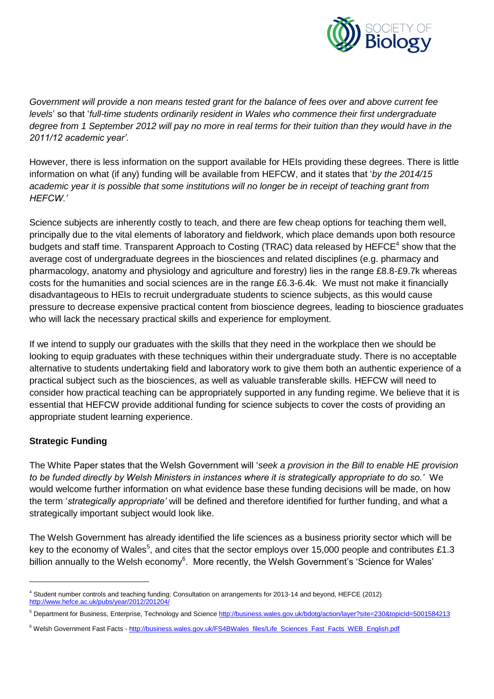

*Government will provide a non means tested grant for the balance of fees over and above current fee levels*' so that '*full-time students ordinarily resident in Wales who commence their first undergraduate degree from 1 September 2012 will pay no more in real terms for their tuition than they would have in the 2011/12 academic year'*.

However, there is less information on the support available for HEIs providing these degrees. There is little information on what (if any) funding will be available from HEFCW, and it states that '*by the 2014/15 academic year it is possible that some institutions will no longer be in receipt of teaching grant from HEFCW.'*

Science subjects are inherently costly to teach, and there are few cheap options for teaching them well, principally due to the vital elements of laboratory and fieldwork, which place demands upon both resource budgets and staff time. Transparent Approach to Costing (TRAC) data released by HEFCE<sup>4</sup> show that the average cost of undergraduate degrees in the biosciences and related disciplines (e.g. pharmacy and pharmacology, anatomy and physiology and agriculture and forestry) lies in the range £8.8-£9.7k whereas costs for the humanities and social sciences are in the range £6.3-6.4k. We must not make it financially disadvantageous to HEIs to recruit undergraduate students to science subjects, as this would cause pressure to decrease expensive practical content from bioscience degrees, leading to bioscience graduates who will lack the necessary practical skills and experience for employment.

If we intend to supply our graduates with the skills that they need in the workplace then we should be looking to equip graduates with these techniques within their undergraduate study. There is no acceptable alternative to students undertaking field and laboratory work to give them both an authentic experience of a practical subject such as the biosciences, as well as valuable transferable skills. HEFCW will need to consider how practical teaching can be appropriately supported in any funding regime. We believe that it is essential that HEFCW provide additional funding for science subjects to cover the costs of providing an appropriate student learning experience.

### **Strategic Funding**

 $\overline{a}$ 

The White Paper states that the Welsh Government will '*seek a provision in the Bill to enable HE provision to be funded directly by Welsh Ministers in instances where it is strategically appropriate to do so.'* We would welcome further information on what evidence base these funding decisions will be made, on how the term '*strategically appropriate'* will be defined and therefore identified for further funding, and what a strategically important subject would look like.

The Welsh Government has already identified the life sciences as a business priority sector which will be key to the economy of Wales<sup>5</sup>, and cites that the sector employs over 15,000 people and contributes £1.3 billion annually to the Welsh economy<sup>6</sup>. More recently, the Welsh Government's 'Science for Wales'

<sup>4</sup> Student number controls and teaching funding: Consultation on arrangements for 2013-14 and beyond, HEFCE (2012) <http://www.hefce.ac.uk/pubs/year/2012/201204/>

<sup>5</sup> Department for Business, Enterprise, Technology and Scienc[e http://business.wales.gov.uk/bdotg/action/layer?site=230&topicId=5001584213](http://business.wales.gov.uk/bdotg/action/layer?site=230&topicId=5001584213)

<sup>&</sup>lt;sup>6</sup> Welsh Government Fast Facts - [http://business.wales.gov.uk/FS4BWales\\_files/Life\\_Sciences\\_Fast\\_Facts\\_WEB\\_English.pdf](http://business.wales.gov.uk/FS4BWales_files/Life_Sciences_Fast_Facts_WEB_English.pdf)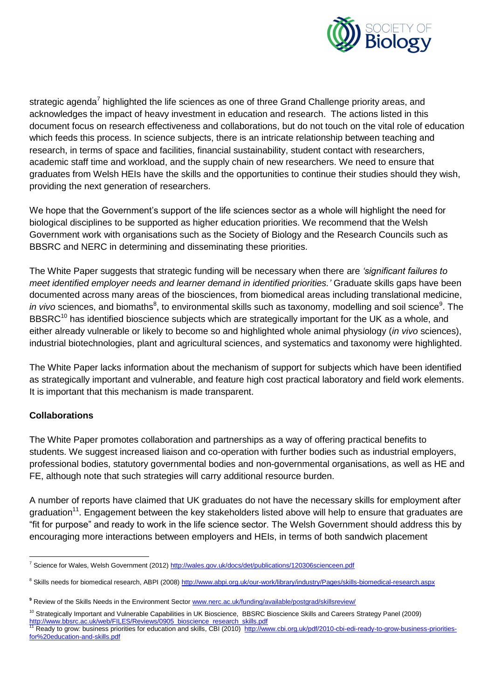

strategic agenda<sup>7</sup> highlighted the life sciences as one of three Grand Challenge priority areas, and acknowledges the impact of heavy investment in education and research. The actions listed in this document focus on research effectiveness and collaborations, but do not touch on the vital role of education which feeds this process. In science subjects, there is an intricate relationship between teaching and research, in terms of space and facilities, financial sustainability, student contact with researchers, academic staff time and workload, and the supply chain of new researchers. We need to ensure that graduates from Welsh HEIs have the skills and the opportunities to continue their studies should they wish, providing the next generation of researchers.

We hope that the Government's support of the life sciences sector as a whole will highlight the need for biological disciplines to be supported as higher education priorities. We recommend that the Welsh Government work with organisations such as the Society of Biology and the Research Councils such as BBSRC and NERC in determining and disseminating these priorities.

The White Paper suggests that strategic funding will be necessary when there are *'significant failures to meet identified employer needs and learner demand in identified priorities.'* Graduate skills gaps have been documented across many areas of the biosciences, from biomedical areas including translational medicine, in vivo sciences, and biomaths<sup>8</sup>, to environmental skills such as taxonomy, modelling and soil science<sup>9</sup>. The BBSRC<sup>10</sup> has identified bioscience subjects which are strategically important for the UK as a whole, and either already vulnerable or likely to become so and highlighted whole animal physiology (*in vivo* sciences), industrial biotechnologies, plant and agricultural sciences, and systematics and taxonomy were highlighted.

The White Paper lacks information about the mechanism of support for subjects which have been identified as strategically important and vulnerable, and feature high cost practical laboratory and field work elements. It is important that this mechanism is made transparent.

### **Collaborations**

The White Paper promotes collaboration and partnerships as a way of offering practical benefits to students. We suggest increased liaison and co-operation with further bodies such as industrial employers, professional bodies, statutory governmental bodies and non-governmental organisations, as well as HE and FE, although note that such strategies will carry additional resource burden.

A number of reports have claimed that UK graduates do not have the necessary skills for employment after graduation<sup>11</sup>. Engagement between the key stakeholders listed above will help to ensure that graduates are "fit for purpose" and ready to work in the life science sector. The Welsh Government should address this by encouraging more interactions between employers and HEIs, in terms of both sandwich placement

 $\overline{a}$ <sup>7</sup> Science for Wales, Welsh Government (2012[\) http://wales.gov.uk/docs/det/publications/120306scienceen.pdf](http://wales.gov.uk/docs/det/publications/120306scienceen.pdf)

<sup>&</sup>lt;sup>8</sup> Skills needs for biomedical research, ABPI (2008)<http://www.abpi.org.uk/our-work/library/industry/Pages/skills-biomedical-research.aspx>

<sup>&</sup>lt;sup>9</sup> Review of the Skills Needs in the Environment Secto[r www.nerc.ac.uk/funding/available/postgrad/skillsreview/](http://www.nerc.ac.uk/funding/available/postgrad/skillsreview/)

<sup>&</sup>lt;sup>10</sup> Strategically Important and Vulnerable Capabilities in UK Bioscience, BBSRC Bioscience Skills and Careers Strategy Panel (2009) [http://www.bbsrc.ac.uk/web/FILES/Reviews/0905\\_bioscience\\_research\\_skills.pdf](http://www.bbsrc.ac.uk/web/FILES/Reviews/0905_bioscience_research_skills.pdf)<br><sup>11</sup> Boody to grow: business priorities for advestigated and skills. QDJ (2012), kills.pdf

Ready to grow: business priorities for education and skills, CBI (2010) [http://www.cbi.org.uk/pdf/2010-cbi-edi-ready-to-grow-business-priorities](http://www.cbi.org.uk/pdf/2010-cbi-edi-ready-to-grow-business-priorities-for%20education-and-skills.pdf)[for%20education-and-skills.pdf](http://www.cbi.org.uk/pdf/2010-cbi-edi-ready-to-grow-business-priorities-for%20education-and-skills.pdf)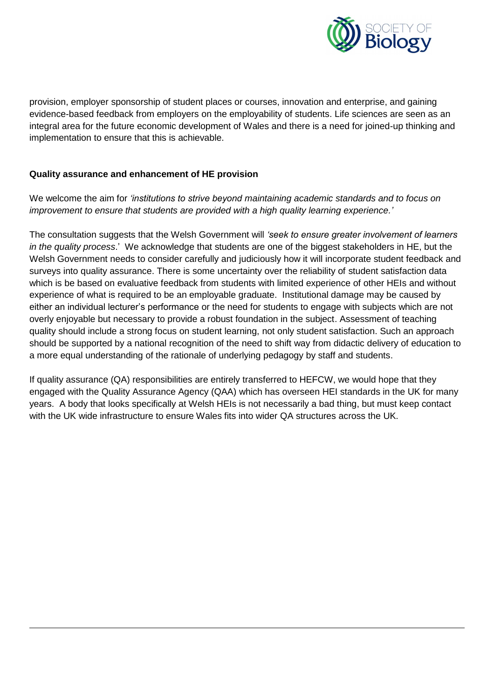

provision, employer sponsorship of student places or courses, innovation and enterprise, and gaining evidence-based feedback from employers on the employability of students. Life sciences are seen as an integral area for the future economic development of Wales and there is a need for joined-up thinking and implementation to ensure that this is achievable.

#### **Quality assurance and enhancement of HE provision**

 $\overline{a}$ 

We welcome the aim for *'institutions to strive beyond maintaining academic standards and to focus on improvement to ensure that students are provided with a high quality learning experience.'*

The consultation suggests that the Welsh Government will *'seek to ensure greater involvement of learners in the quality process*.' We acknowledge that students are one of the biggest stakeholders in HE, but the Welsh Government needs to consider carefully and judiciously how it will incorporate student feedback and surveys into quality assurance. There is some uncertainty over the reliability of student satisfaction data which is be based on evaluative feedback from students with limited experience of other HEIs and without experience of what is required to be an employable graduate. Institutional damage may be caused by either an individual lecturer's performance or the need for students to engage with subjects which are not overly enjoyable but necessary to provide a robust foundation in the subject. Assessment of teaching quality should include a strong focus on student learning, not only student satisfaction. Such an approach should be supported by a national recognition of the need to shift way from didactic delivery of education to a more equal understanding of the rationale of underlying pedagogy by staff and students.

If quality assurance (QA) responsibilities are entirely transferred to HEFCW, we would hope that they engaged with the Quality Assurance Agency (QAA) which has overseen HEI standards in the UK for many years. A body that looks specifically at Welsh HEIs is not necessarily a bad thing, but must keep contact with the UK wide infrastructure to ensure Wales fits into wider QA structures across the UK.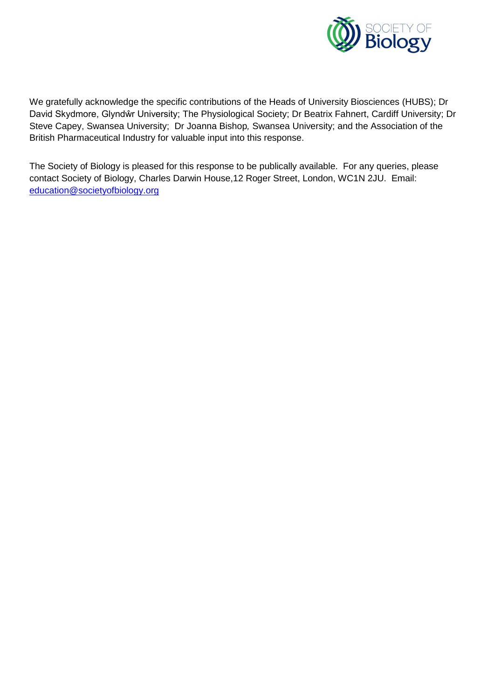

We gratefully acknowledge the specific contributions of the Heads of University Biosciences (HUBS); Dr David Skydmore, Glyndŵr University; The Physiological Society; Dr Beatrix Fahnert, Cardiff University; Dr Steve Capey, Swansea University; Dr Joanna Bishop*,* Swansea University; and the Association of the British Pharmaceutical Industry for valuable input into this response.

The Society of Biology is pleased for this response to be publically available. For any queries, please contact Society of Biology, Charles Darwin House,12 Roger Street, London, WC1N 2JU. Email: [education@societyofbiology.org](mailto:education@societyofbiology.org)